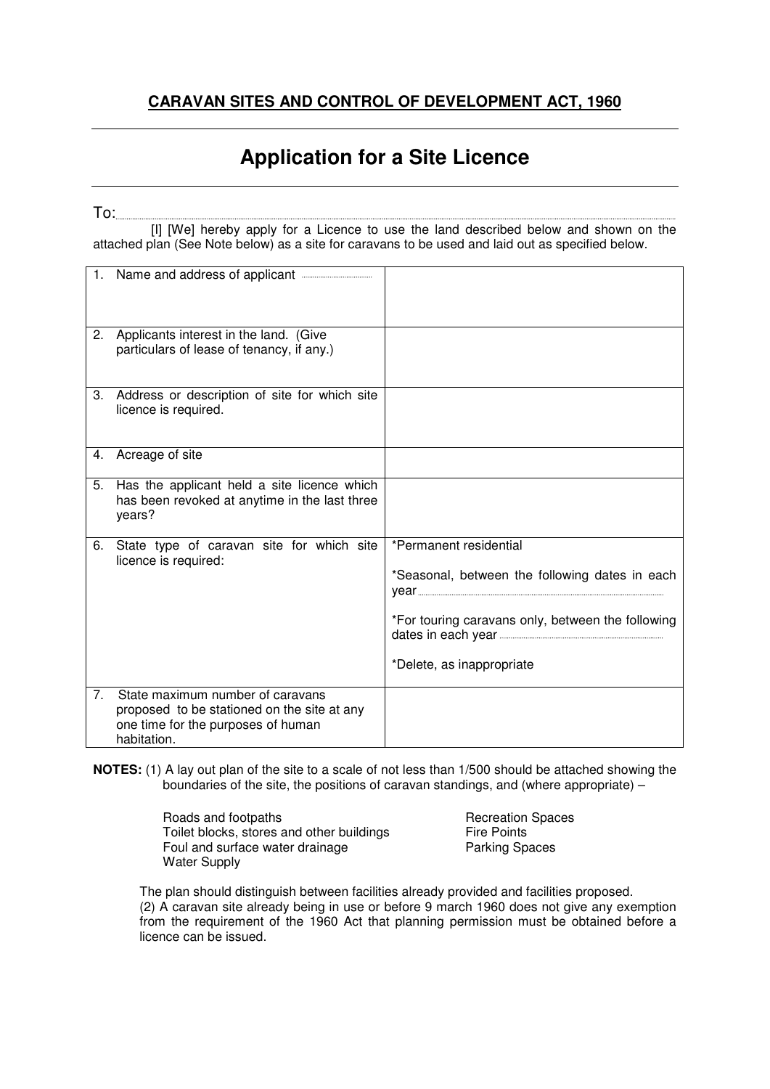## **Application for a Site Licence**

To:

 [I] [We] hereby apply for a Licence to use the land described below and shown on the attached plan (See Note below) as a site for caravans to be used and laid out as specified below.

|    | 1. Name and address of applicant <b></b>                                                                                             |                                                                                                                                                            |
|----|--------------------------------------------------------------------------------------------------------------------------------------|------------------------------------------------------------------------------------------------------------------------------------------------------------|
| 2. | Applicants interest in the land. (Give<br>particulars of lease of tenancy, if any.)                                                  |                                                                                                                                                            |
| 3. | Address or description of site for which site<br>licence is required.                                                                |                                                                                                                                                            |
| 4. | Acreage of site                                                                                                                      |                                                                                                                                                            |
| 5. | Has the applicant held a site licence which<br>has been revoked at anytime in the last three<br>years?                               |                                                                                                                                                            |
| 6. | State type of caravan site for which site<br>licence is required:                                                                    | *Permanent residential<br>*Seasonal, between the following dates in each<br>*For touring caravans only, between the following<br>*Delete, as inappropriate |
| 7. | State maximum number of caravans<br>proposed to be stationed on the site at any<br>one time for the purposes of human<br>habitation. |                                                                                                                                                            |

**NOTES:** (1) A lay out plan of the site to a scale of not less than 1/500 should be attached showing the boundaries of the site, the positions of caravan standings, and (where appropriate) –

> Roads and footpaths<br>
> Toilet blocks, stores and other buildings<br>
> Fire Points Toilet blocks, stores and other buildings<br>
> Fire Points<br>
> Foul and surface water drainage<br>
> Parking Spaces Foul and surface water drainage Water Supply

 The plan should distinguish between facilities already provided and facilities proposed. (2) A caravan site already being in use or before 9 march 1960 does not give any exemption from the requirement of the 1960 Act that planning permission must be obtained before a licence can be issued.